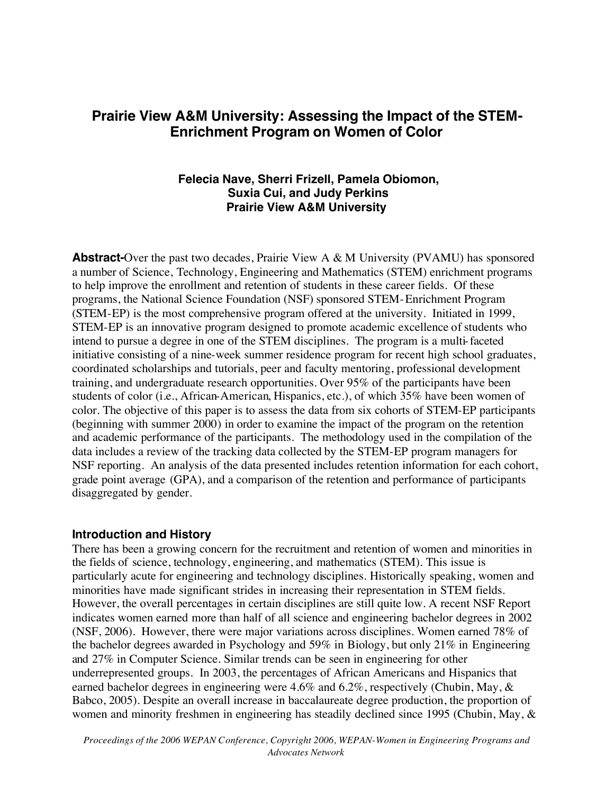# **Prairie View A&M University: Assessing the Impact of the STEM-Enrichment Program on Women of Color**

### **Felecia Nave, Sherri Frizell, Pamela Obiomon, Suxia Cui, and Judy Perkins Prairie View A&M University**

**Abstract-**Over the past two decades, Prairie View A & M University (PVAMU) has sponsored a number of Science, Technology, Engineering and Mathematics (STEM) enrichment programs to help improve the enrollment and retention of students in these career fields. Of these programs, the National Science Foundation (NSF) sponsored STEM-Enrichment Program (STEM-EP) is the most comprehensive program offered at the university. Initiated in 1999, STEM-EP is an innovative program designed to promote academic excellence of students who intend to pursue a degree in one of the STEM disciplines. The program is a multi-faceted initiative consisting of a nine-week summer residence program for recent high school graduates, coordinated scholarships and tutorials, peer and faculty mentoring, professional development training, and undergraduate research opportunities. Over 95% of the participants have been students of color (i.e., African-American, Hispanics, etc.), of which 35% have been women of color. The objective of this paper is to assess the data from six cohorts of STEM-EP participants (beginning with summer 2000) in order to examine the impact of the program on the retention and academic performance of the participants. The methodology used in the compilation of the data includes a review of the tracking data collected by the STEM-EP program managers for NSF reporting. An analysis of the data presented includes retention information for each cohort, grade point average (GPA), and a comparison of the retention and performance of participants disaggregated by gender.

#### **Introduction and History**

There has been a growing concern for the recruitment and retention of women and minorities in the fields of science, technology, engineering, and mathematics (STEM). This issue is particularly acute for engineering and technology disciplines. Historically speaking, women and minorities have made significant strides in increasing their representation in STEM fields. However, the overall percentages in certain disciplines are still quite low. A recent NSF Report indicates women earned more than half of all science and engineering bachelor degrees in 2002 (NSF, 2006). However, there were major variations across disciplines. Women earned 78% of the bachelor degrees awarded in Psychology and 59% in Biology, but only 21% in Engineering and 27% in Computer Science. Similar trends can be seen in engineering for other underrepresented groups. In 2003, the percentages of African Americans and Hispanics that earned bachelor degrees in engineering were 4.6% and 6.2%, respectively (Chubin, May, & Babco, 2005). Despite an overall increase in baccalaureate degree production, the proportion of women and minority freshmen in engineering has steadily declined since 1995 (Chubin, May, &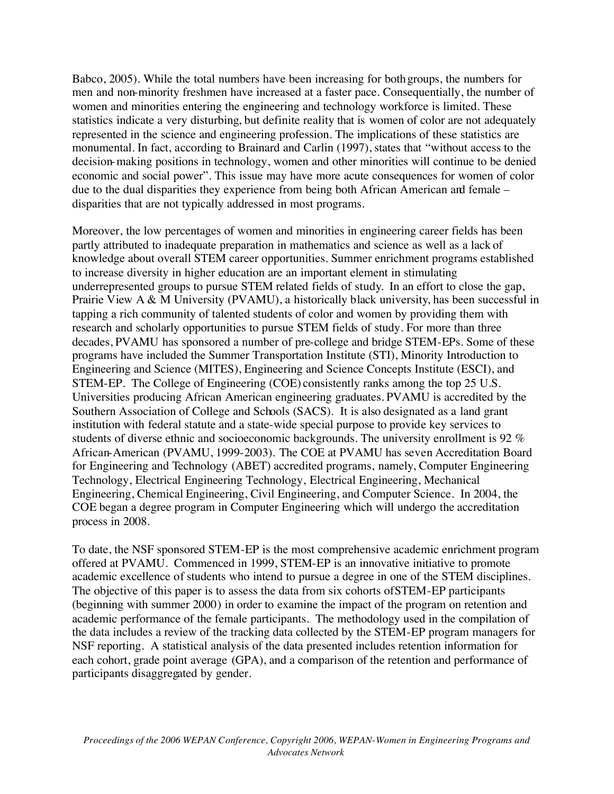Babco, 2005). While the total numbers have been increasing for both groups, the numbers for men and non-minority freshmen have increased at a faster pace. Consequentially, the number of women and minorities entering the engineering and technology workforce is limited. These statistics indicate a very disturbing, but definite reality that is women of color are not adequately represented in the science and engineering profession. The implications of these statistics are monumental. In fact, according to Brainard and Carlin (1997), states that "without access to the decision-making positions in technology, women and other minorities will continue to be denied economic and social power". This issue may have more acute consequences for women of color due to the dual disparities they experience from being both African American and female – disparities that are not typically addressed in most programs.

Moreover, the low percentages of women and minorities in engineering career fields has been partly attributed to inadequate preparation in mathematics and science as well as a lack of knowledge about overall STEM career opportunities. Summer enrichment programs established to increase diversity in higher education are an important element in stimulating underrepresented groups to pursue STEM related fields of study. In an effort to close the gap, Prairie View A & M University (PVAMU), a historically black university, has been successful in tapping a rich community of talented students of color and women by providing them with research and scholarly opportunities to pursue STEM fields of study. For more than three decades, PVAMU has sponsored a number of pre-college and bridge STEM-EPs. Some of these programs have included the Summer Transportation Institute (STI), Minority Introduction to Engineering and Science (MITES), Engineering and Science Concepts Institute (ESCI), and STEM-EP. The College of Engineering (COE) consistently ranks among the top 25 U.S. Universities producing African American engineering graduates. PVAMU is accredited by the Southern Association of College and Schools (SACS). It is also designated as a land grant institution with federal statute and a state-wide special purpose to provide key services to students of diverse ethnic and socioeconomic backgrounds. The university enrollment is 92 % African-American (PVAMU, 1999-2003). The COE at PVAMU has seven Accreditation Board for Engineering and Technology (ABET) accredited programs, namely, Computer Engineering Technology, Electrical Engineering Technology, Electrical Engineering, Mechanical Engineering, Chemical Engineering, Civil Engineering, and Computer Science. In 2004, the COE began a degree program in Computer Engineering which will undergo the accreditation process in 2008.

To date, the NSF sponsored STEM-EP is the most comprehensive academic enrichment program offered at PVAMU. Commenced in 1999, STEM-EP is an innovative initiative to promote academic excellence of students who intend to pursue a degree in one of the STEM disciplines. The objective of this paper is to assess the data from six cohorts of STEM-EP participants (beginning with summer 2000) in order to examine the impact of the program on retention and academic performance of the female participants. The methodology used in the compilation of the data includes a review of the tracking data collected by the STEM-EP program managers for NSF reporting. A statistical analysis of the data presented includes retention information for each cohort, grade point average (GPA), and a comparison of the retention and performance of participants disaggregated by gender.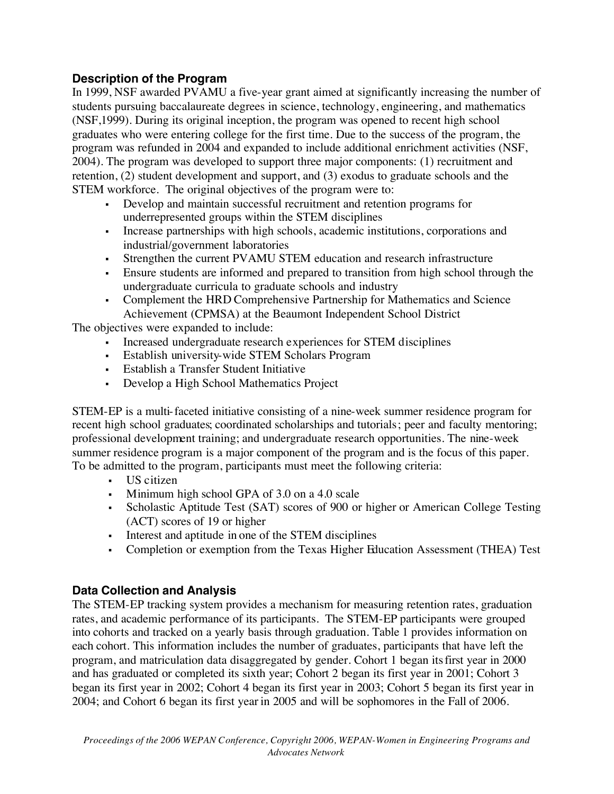# **Description of the Program**

In 1999, NSF awarded PVAMU a five-year grant aimed at significantly increasing the number of students pursuing baccalaureate degrees in science, technology, engineering, and mathematics (NSF,1999). During its original inception, the program was opened to recent high school graduates who were entering college for the first time. Due to the success of the program, the program was refunded in 2004 and expanded to include additional enrichment activities (NSF, 2004). The program was developed to support three major components: (1) recruitment and retention, (2) student development and support, and (3) exodus to graduate schools and the STEM workforce. The original objectives of the program were to:

- Develop and maintain successful recruitment and retention programs for underrepresented groups within the STEM disciplines
- Increase partnerships with high schools, academic institutions, corporations and industrial/government laboratories
- Strengthen the current PVAMU STEM education and research infrastructure
- Ensure students are informed and prepared to transition from high school through the undergraduate curricula to graduate schools and industry
- Complement the HRD Comprehensive Partnership for Mathematics and Science Achievement (CPMSA) at the Beaumont Independent School District

The objectives were expanded to include:

- Increased undergraduate research experiences for STEM disciplines
- Establish university-wide STEM Scholars Program
- Establish a Transfer Student Initiative
- Develop a High School Mathematics Project

STEM-EP is a multi-faceted initiative consisting of a nine-week summer residence program for recent high school graduates; coordinated scholarships and tutorials; peer and faculty mentoring; professional development training; and undergraduate research opportunities. The nine-week summer residence program is a major component of the program and is the focus of this paper. To be admitted to the program, participants must meet the following criteria:

- US citizen
- Minimum high school GPA of 3.0 on a 4.0 scale
- Scholastic Aptitude Test (SAT) scores of 900 or higher or American College Testing (ACT) scores of 19 or higher
- Interest and aptitude in one of the STEM disciplines
- Completion or exemption from the Texas Higher Education Assessment (THEA) Test

## **Data Collection and Analysis**

The STEM-EP tracking system provides a mechanism for measuring retention rates, graduation rates, and academic performance of its participants. The STEM-EP participants were grouped into cohorts and tracked on a yearly basis through graduation. Table 1 provides information on each cohort. This information includes the number of graduates, participants that have left the program, and matriculation data disaggregated by gender. Cohort 1 began its first year in 2000 and has graduated or completed its sixth year; Cohort 2 began its first year in 2001; Cohort 3 began its first year in 2002; Cohort 4 began its first year in 2003; Cohort 5 began its first year in 2004; and Cohort 6 began its first year in 2005 and will be sophomores in the Fall of 2006.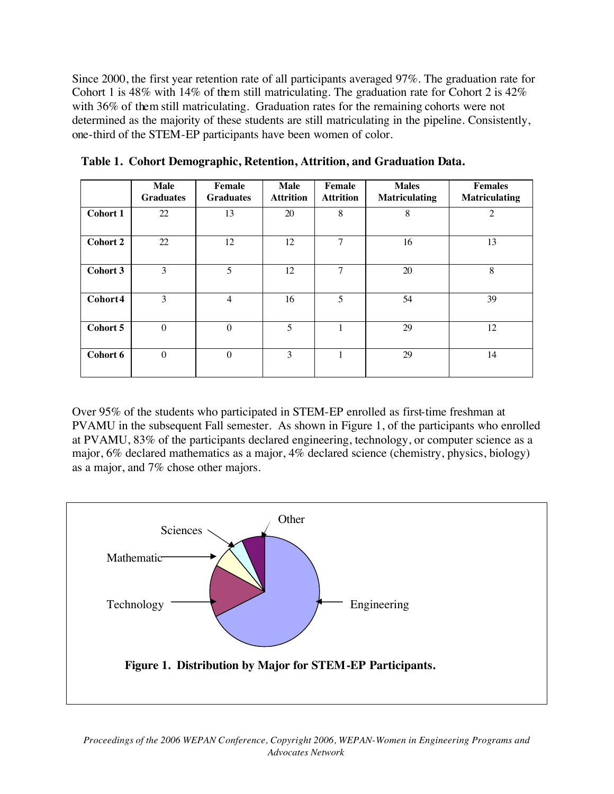Since 2000, the first year retention rate of all participants averaged 97%. The graduation rate for Cohort 1 is 48% with 14% of them still matriculating. The graduation rate for Cohort 2 is 42% with 36% of them still matriculating. Graduation rates for the remaining cohorts were not determined as the majority of these students are still matriculating in the pipeline. Consistently, one-third of the STEM-EP participants have been women of color.

|                 | <b>Male</b><br><b>Graduates</b> | Female<br><b>Graduates</b> | Male<br><b>Attrition</b> | Female<br><b>Attrition</b> | <b>Males</b><br><b>Matriculating</b> | <b>Females</b><br><b>Matriculating</b> |
|-----------------|---------------------------------|----------------------------|--------------------------|----------------------------|--------------------------------------|----------------------------------------|
| Cohort 1        | 22                              | 13                         | 20                       | 8                          | 8                                    | $\overline{c}$                         |
| <b>Cohort 2</b> | 22                              | 12                         | 12                       | 7                          | 16                                   | 13                                     |
| Cohort 3        | 3                               | 5                          | 12                       | 7                          | 20                                   | 8                                      |
| Cohort4         | 3                               | $\overline{4}$             | 16                       | 5                          | 54                                   | 39                                     |
| Cohort 5        | $\mathbf{0}$                    | $\theta$                   | 5                        |                            | 29                                   | 12                                     |
| Cohort 6        | $\boldsymbol{0}$                | $\theta$                   | 3                        |                            | 29                                   | 14                                     |

**Table 1. Cohort Demographic, Retention, Attrition, and Graduation Data.**

Over 95% of the students who participated in STEM-EP enrolled as first-time freshman at PVAMU in the subsequent Fall semester. As shown in Figure 1, of the participants who enrolled at PVAMU, 83% of the participants declared engineering, technology, or computer science as a major, 6% declared mathematics as a major, 4% declared science (chemistry, physics, biology) as a major, and 7% chose other majors.

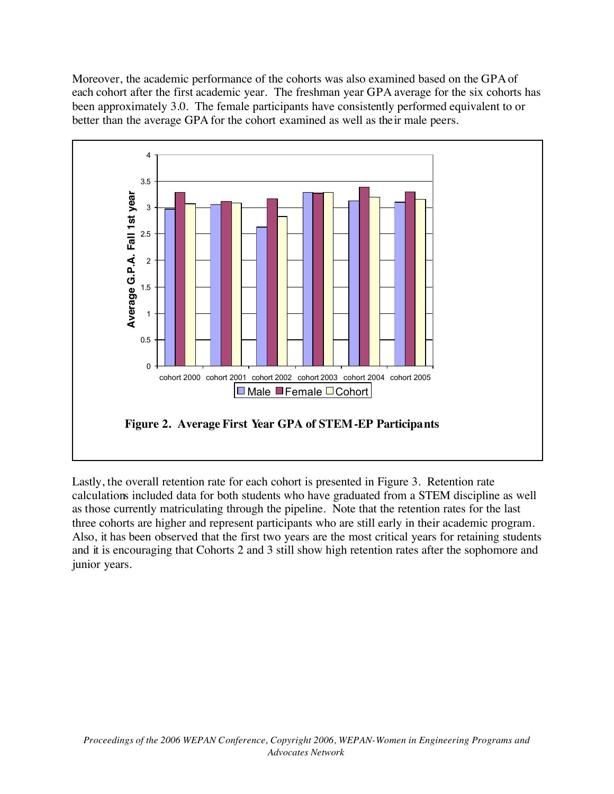Moreover, the academic performance of the cohorts was also examined based on the GPA of each cohort after the first academic year. The freshman year GPA average for the six cohorts has been approximately 3.0. The female participants have consistently performed equivalent to or better than the average GPA for the cohort examined as well as their male peers.



Lastly, the overall retention rate for each cohort is presented in Figure 3. Retention rate calculations included data for both students who have graduated from a STEM discipline as well as those currently matriculating through the pipeline. Note that the retention rates for the last three cohorts are higher and represent participants who are still early in their academic program. Also, it has been observed that the first two years are the most critical years for retaining students and it is encouraging that Cohorts 2 and 3 still show high retention rates after the sophomore and junior years.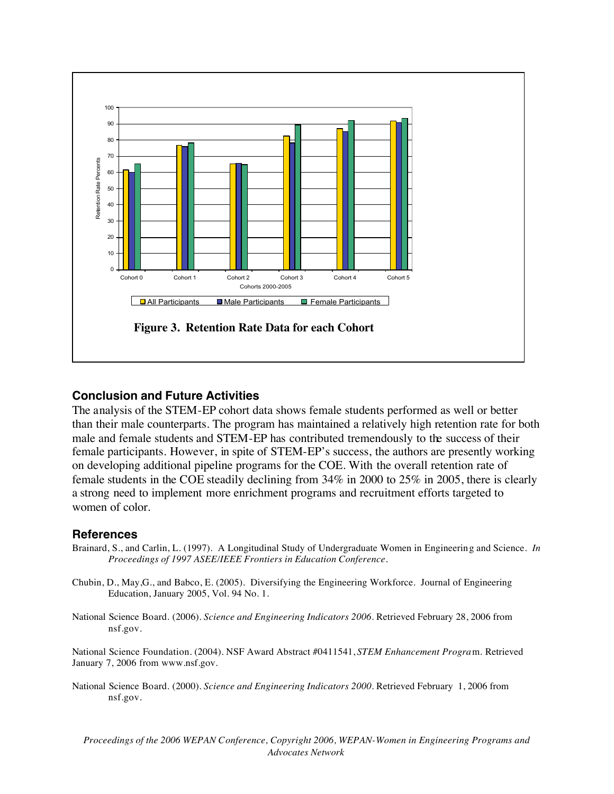

### **Conclusion and Future Activities**

The analysis of the STEM-EP cohort data shows female students performed as well or better than their male counterparts. The program has maintained a relatively high retention rate for both male and female students and STEM-EP has contributed tremendously to the success of their female participants. However, in spite of STEM-EP's success, the authors are presently working on developing additional pipeline programs for the COE. With the overall retention rate of female students in the COE steadily declining from 34% in 2000 to 25% in 2005, there is clearly a strong need to implement more enrichment programs and recruitment efforts targeted to women of color.

#### **References**

- Brainard, S., and Carlin, L. (1997). A Longitudinal Study of Undergraduate Women in Engineering and Science. *In Proceedings of 1997 ASEE/IEEE Frontiers in Education Conference.*
- Chubin, D., May,G., and Babco, E. (2005). Diversifying the Engineering Workforce. Journal of Engineering Education, January 2005, Vol. 94 No. 1.
- National Science Board. (2006). *Science and Engineering Indicators 2006*. Retrieved February 28, 2006 from nsf.gov.

National Science Foundation. (2004). NSF Award Abstract #0411541, *STEM Enhancement Progra*m. Retrieved January 7, 2006 from www.nsf.gov.

National Science Board. (2000). *Science and Engineering Indicators 2000*. Retrieved February 1, 2006 from nsf.gov.